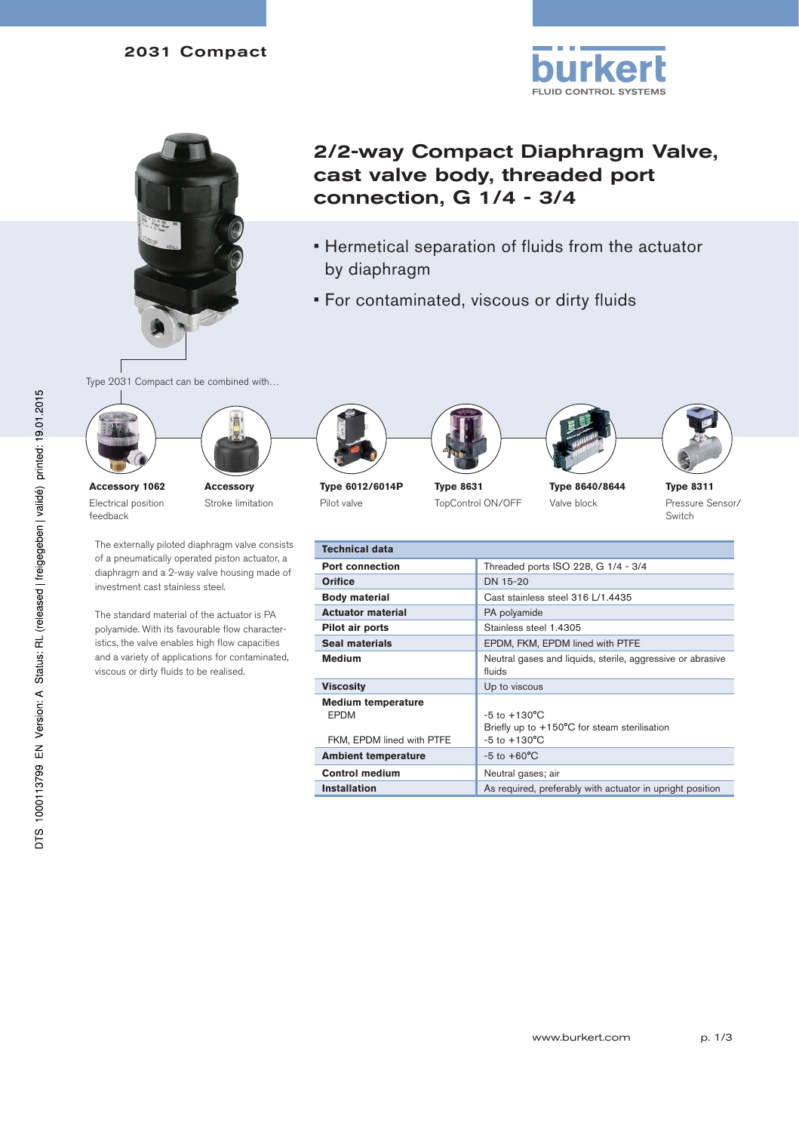

# 2/2-way Compact Diaphragm Valve, cast valve body, threaded port connection, G 1/4 - 3/4

- Hermetical separation of fluids from the actuator by diaphragm
- For contaminated, viscous or dirty fluids

Type 2031 Compact can be combined with…





**Accessory 1062** Electrical position feedback

**Accessory** Stroke limitation

The externally piloted diaphragm valve consists of a pneumatically operated piston actuator, a diaphragm and a 2-way valve housing made of investment cast stainless steel.

The standard material of the actuator is PA polyamide. With its favourable flow characteristics, the valve enables high flow capacities and a variety of applications for contaminated, viscous or dirty fluids to be realised.









**Type 8640/8644** Valve block



**Type 8311** Pressure Sensor/ Switch

**Type 6012/6014P** Pilot valve

Ī

ľ

**Type 8631** TopControl ON/OFF

| <b>Technical data</b>                    |                                                                          |  |  |  |  |
|------------------------------------------|--------------------------------------------------------------------------|--|--|--|--|
| <b>Port connection</b>                   | Threaded ports ISO 228, G 1/4 - 3/4                                      |  |  |  |  |
| Orifice                                  | DN 15-20                                                                 |  |  |  |  |
| <b>Body material</b>                     | Cast stainless steel 316 L/1.4435                                        |  |  |  |  |
| <b>Actuator material</b>                 | PA polyamide                                                             |  |  |  |  |
| Pilot air ports                          | Stainless steel 1.4305                                                   |  |  |  |  |
| Seal materials                           | EPDM, FKM, EPDM lined with PTFE                                          |  |  |  |  |
| <b>Medium</b>                            | Neutral gases and liquids, sterile, aggressive or abrasive<br>fluids     |  |  |  |  |
| <b>Viscosity</b>                         | Up to viscous                                                            |  |  |  |  |
| <b>Medium temperature</b><br><b>EPDM</b> | $-5$ to $+130^{\circ}$ C<br>Briefly up to +150°C for steam sterilisation |  |  |  |  |
| FKM, EPDM lined with PTFE                | $-5$ to $+130^{\circ}$ C                                                 |  |  |  |  |
| <b>Ambient temperature</b>               | $-5$ to $+60^{\circ}$ C                                                  |  |  |  |  |
| <b>Control medium</b>                    | Neutral gases; air                                                       |  |  |  |  |
| <b>Installation</b>                      | As required, preferably with actuator in upright position                |  |  |  |  |

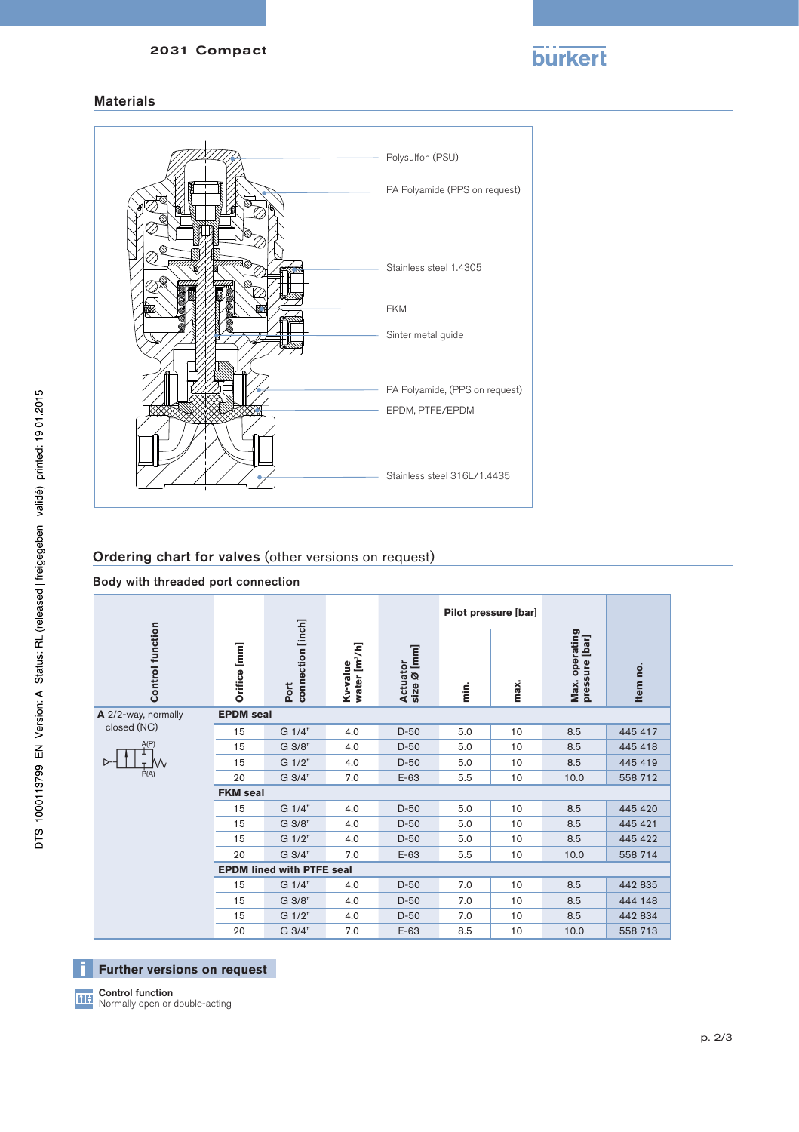

### Materials



# Ordering chart for valves (other versions on request)

#### Body with threaded port connection

|                         |                                  |                           |                                       |                                        | Pilot pressure [bar] |      |                                  |          |  |  |
|-------------------------|----------------------------------|---------------------------|---------------------------------------|----------------------------------------|----------------------|------|----------------------------------|----------|--|--|
| <b>Control function</b> | Orifice [mm]                     | connection [inch]<br>Port | Kv-value<br>water [m <sup>3</sup> /h] | $\Omega$ [mm]<br>Actuator<br>size Ø [m | $\frac{1}{n}$        | max. | Max. operating<br>pressure [bar] | Item no. |  |  |
| A 2/2-way, normally     | <b>EPDM</b> seal                 |                           |                                       |                                        |                      |      |                                  |          |  |  |
| closed (NC)             | 15                               | G 1/4"                    | 4.0                                   | $D-50$                                 | 5.0                  | 10   | 8.5                              | 445 417  |  |  |
| A(P)                    | 15                               | G 3/8"                    | 4.0                                   | $D-50$                                 | 5.0                  | 10   | 8.5                              | 445 418  |  |  |
| ⊳                       | 15                               | G 1/2"                    | 4.0                                   | $D-50$                                 | 5.0                  | 10   | 8.5                              | 445 419  |  |  |
| P(A)                    | 20                               | G 3/4"                    | 7.0                                   | $E-63$                                 | 5.5                  | 10   | 10.0                             | 558 712  |  |  |
|                         | <b>FKM</b> seal                  |                           |                                       |                                        |                      |      |                                  |          |  |  |
|                         | 15                               | G 1/4"                    | 4.0                                   | $D-50$                                 | 5.0                  | 10   | 8.5                              | 445 420  |  |  |
|                         | 15                               | G 3/8"                    | 4.0                                   | $D-50$                                 | 5.0                  | 10   | 8.5                              | 445 421  |  |  |
|                         | 15                               | G 1/2"                    | 4.0                                   | $D-50$                                 | 5.0                  | 10   | 8.5                              | 445 422  |  |  |
|                         | 20                               | G 3/4"                    | 7.0                                   | $E-63$                                 | 5.5                  | 10   | 10.0                             | 558 714  |  |  |
|                         | <b>EPDM lined with PTFE seal</b> |                           |                                       |                                        |                      |      |                                  |          |  |  |
|                         | 15                               | G 1/4"                    | 4.0                                   | $D-50$                                 | 7.0                  | 10   | 8.5                              | 442 835  |  |  |
|                         | 15                               | G 3/8"                    | 4.0                                   | $D-50$                                 | 7.0                  | 10   | 8.5                              | 444 148  |  |  |
|                         | 15                               | G 1/2"                    | 4.0                                   | $D-50$                                 | 7.0                  | 10   | 8.5                              | 442 834  |  |  |
|                         | 20                               | G 3/4"                    | 7.0                                   | $E-63$                                 | 8.5                  | 10   | 10.0                             | 558 713  |  |  |





Normally open or double-acting